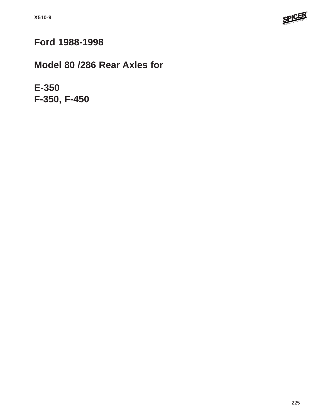

# **Ford 1988-1998**

# **Model 80 /286 Rear Axles for**

**E-350 F-350, F-450**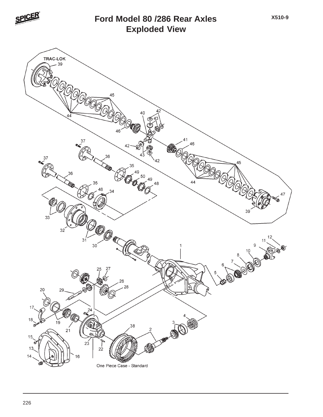

# **Exploded View Ford Model 80 /286 Rear Axles**

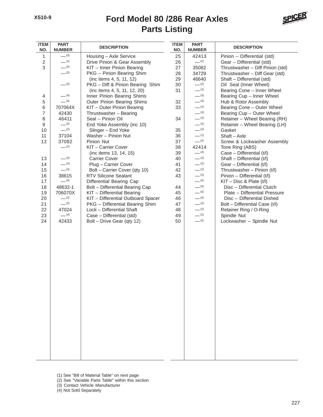## **Parts Listing Ford Model 80 /286 Rear Axles**



| <b>ITEM</b><br>NO. | <b>PART</b><br><b>NUMBER</b> | <b>DESCRIPTION</b>                 | <b>ITEM</b><br>NO. | <b>PART</b><br><b>NUMBER</b> | <b>DESCRIPTION</b>                          |
|--------------------|------------------------------|------------------------------------|--------------------|------------------------------|---------------------------------------------|
| 1                  | $- (3)$                      | Housing - Axle Service             | 25                 | 42413                        | Pinion - Differential (std)                 |
| $\overline{2}$     | $-$ (1)                      | Drive Pinion & Gear Assembly       | 26                 | $-^{(2)}$                    | Gear - Differential (std)                   |
| 3                  | $-^{(2)}$                    | KIT - Inner Pinion Bearing         | 27                 | 35082                        | Thrustwasher - Diff Pinion (std)            |
|                    | $-$ (2)                      | PKG - Pinion Bearing Shim          | 28                 | 34729                        | Thrustwasher - Diff Gear (std)              |
|                    |                              | (inc items 4, 5, 11, 12)           | 29                 | 46640                        | Shaft - Differential (std)                  |
|                    | $-^{(2)}$                    | PKG - Diff & Pinion Bearing Shim   | 30                 | $-^{(2)}$                    | Oil Seal (Inner Wheel)                      |
|                    |                              | (inc items 4, 5, 11, 12, 20)       | 31                 | $-^{(2)}$                    | Bearing Cone - Inner Wheel                  |
| 4                  | $-$ (4)                      | Inner Pinion Bearing Shims         |                    | $-^{(3)}$                    | Bearing Cup - Inner Wheel                   |
| 5                  | $- (4)$                      | Outer Pinion Bearing Shims         | 32                 | $-^{(3)}$                    | Hub & Rotor Assembly                        |
| 6                  | 707064X                      | KIT - Outer Pinion Bearing         | 33                 | $-^{(2)}$                    | Bearing Cone - Outer Wheel                  |
| $\overline{7}$     | 42430                        | Thrustwasher - Bearing             |                    | $- (3)$                      | Bearing Cup - Outer Wheel                   |
| 8                  | 46411<br>$-^{(2)}$           | Seal - Pinion Oil                  | 34                 | $- (2)$<br>$-^{(2)}$         | Retainer - Wheel Bearing (RH)               |
| 9                  | $-^{(2)}$                    | End Yoke Assembly (inc 10)         |                    | $-^{(2)}$                    | Retainer - Wheel Bearing (LH)               |
| 10                 | 37104                        | Slinger - End Yoke                 | 35                 | $-$ (1)                      | Gasket                                      |
| 11<br>12           | 37082                        | Washer - Pinion Nut<br>Pinion Nut  | 36<br>37           | $-^{(2)}$                    | Shaft - Axle<br>Screw & Lockwasher Assembly |
|                    | $-^{(2)}$                    | KIT - Carrier Cover                | 38                 | 42414                        | Tone Ring (ABS)                             |
|                    |                              | (inc items 13, 14, 15)             | 39                 | $-$ (4)                      | Case - Differential (t/l)                   |
| 13                 | $-^{(2)}$                    | <b>Carrier Cover</b>               | 40                 | $-^{(2)}$                    | Shaft - Differential (t/l)                  |
| 14                 | $-^{(2)}$                    | Plug - Carrier Cover               | 41                 | $-^{(2)}$                    | Gear - Differential (t/l)                   |
| 15                 | $-^{(2)}$                    | Bolt - Carrier Cover (qty 10)      | 42                 | $- (2)$                      | Thrustwasher - Pinion (t/l)                 |
| 16                 | 38615                        | <b>RTV Silicone Sealant</b>        | 43                 | $- (2)$                      | Pinion - Differential (t/l)                 |
| 17                 | $-^{(3)}$                    | Differential Bearing Cap           |                    | $-^{(2)}$                    | $KIT - Disc 8$ Plate $(t/I)$                |
| 18                 | 48632-1                      | Bolt - Differential Bearing Cap    | 44                 | $- (4)$                      | Disc - Differential Clutch                  |
| 19                 | 706070X                      | KIT - Differential Bearing         | 45                 | $- (4)$                      | Plate - Differential Pressure               |
| 20                 | $-$ (2)                      | KIT - Differential Outboard Spacer | 46                 | $- (4)$                      | Disc - Differential Dished                  |
| 21                 | $-^{(2)}$                    | PKG - Differential Bearing Shim    | 47                 | $-^{(2)}$                    | Bolt - Differential Case (t/l)              |
| 22                 | 47024                        | Lock - Differential Shaft          | 48                 | $-^{(2)}$                    | Retainer Ring / O-Ring                      |
| 23                 | $- (4)$                      | Case - Differential (std)          | 49                 | $-^{(2)}$                    | Spindle Nut                                 |
| 24                 | 42433                        | Bolt - Drive Gear (qty 12)         | 50                 | $-^{(2)}$                    | Lockwasher - Spindle Nut                    |
|                    |                              |                                    |                    |                              |                                             |
|                    |                              |                                    |                    |                              |                                             |
|                    |                              |                                    |                    |                              |                                             |
|                    |                              |                                    |                    |                              |                                             |
|                    |                              |                                    |                    |                              |                                             |
|                    |                              |                                    |                    |                              |                                             |
|                    |                              |                                    |                    |                              |                                             |
|                    |                              |                                    |                    |                              |                                             |
|                    |                              |                                    |                    |                              |                                             |
|                    |                              |                                    |                    |                              |                                             |
|                    |                              |                                    |                    |                              |                                             |
|                    |                              |                                    |                    |                              |                                             |
|                    |                              |                                    |                    |                              |                                             |
|                    |                              |                                    |                    |                              |                                             |
|                    |                              |                                    |                    |                              |                                             |
|                    |                              |                                    |                    |                              |                                             |
|                    |                              |                                    |                    |                              |                                             |
|                    |                              |                                    |                    |                              |                                             |
|                    |                              |                                    |                    |                              |                                             |
|                    |                              |                                    |                    |                              |                                             |
|                    |                              |                                    |                    |                              |                                             |
|                    |                              |                                    |                    |                              |                                             |

- (1) See "Bill of Material Table" on next page
- (2) See "Variable Parts Table" within this section
- (3) Contact Vehicle Manufacturer
- (4) Not Sold Separately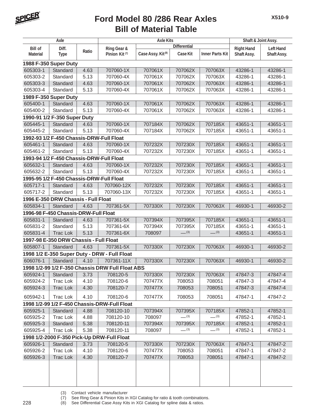

## **Bill of Material Table Ford Model 80 /286 Rear Axles**

| Axle            |                                          |       |                                                  | <b>Axle Kits</b>              | Shaft & Joint Assy. |                        |                   |                  |
|-----------------|------------------------------------------|-------|--------------------------------------------------|-------------------------------|---------------------|------------------------|-------------------|------------------|
| <b>Bill of</b>  | Diff.                                    |       | Ring Gear &                                      |                               | <b>Differential</b> |                        | <b>Right Hand</b> | <b>Left Hand</b> |
| <b>Material</b> | <b>Type</b>                              | Ratio | Pinion Kit <sup>(7)</sup>                        | Case Assy. Kit <sup>(8)</sup> | <b>Case Kit</b>     | <b>Inner Parts Kit</b> | Shaft Assy.       | Shaft Assy.      |
|                 | 1988 F-350 Super Duty                    |       |                                                  |                               |                     |                        |                   |                  |
| 605303-1        | Standard                                 | 4.63  | 707060-1X                                        | 707061X                       | 707062X             | 707063X                | 43286-1           | 43286-1          |
| 605303-2        | Standard                                 | 5.13  | 707060-4X                                        | 707061X                       | 707062X             | 707063X                | 43286-1           | 43286-1          |
| 605303-3        | Standard                                 | 4.63  | 707060-1X                                        | 707061X                       | 707062X             | 707063X                | 43286-1           | 43286-1          |
| 605303-4        | Standard                                 | 5.13  | 707060-4X                                        | 707061X                       | 707062X             | 707063X                | 43286-1           | 43286-1          |
|                 | 1989 F-350 Super Duty                    |       |                                                  |                               |                     |                        |                   |                  |
| 605400-1        | Standard                                 | 4.63  | 707060-1X                                        | 707061X                       | 707062X             | 707063X                | 43286-1           | 43286-1          |
| 605400-2        | Standard                                 | 5.13  | 707060-4X                                        | 707061X                       | 707062X             | 707063X                | 43286-1           | 43286-1          |
|                 | 1990-91 1/2 F-350 Super Duty             |       |                                                  |                               |                     |                        |                   |                  |
| 605445-1        | Standard                                 | 4.63  | 707060-1X                                        | 707184X                       | 707062X             | 707185X                | 43651-1           | 43651-1          |
| 605445-2        | Standard                                 | 5.13  | 707060-4X                                        | 707184X                       | 707062X             | 707185X                | 43651-1           | 43651-1          |
|                 | 1992-93 1/2 F-450 Chassis-DRW-Full Float |       |                                                  |                               |                     |                        |                   |                  |
| 605461-1        | Standard                                 | 4.63  | 707060-1X                                        | 707232X                       | 707230X             | 707185X                | 43651-1           | 43651-1          |
| 605461-2        | Standard                                 | 5.13  | 707060-4X                                        | 707232X                       | 707230X             | 707185X                | 43651-1           | 43651-1          |
|                 | 1993-94 1/2 F-450 Chassis-DRW-Full Float |       |                                                  |                               |                     |                        |                   |                  |
| 605632-1        | Standard                                 | 4.63  | 707060-1X                                        | 707232X                       | 707230X             | 707185X                | 43651-1           | 43651-1          |
| 605632-2        | Standard                                 | 5.13  | 707060-4X                                        | 707232X                       | 707230X             | 707185X                | 43651-1           | 43651-1          |
|                 | 1995-95 1/2 F-450 Chassis-DRW-Full Float |       |                                                  |                               |                     |                        |                   |                  |
| 605717-1        | Standard                                 | 4.63  | 707060-12X                                       | 707232X                       | 707230X             | 707185X                | 43651-1           | 43651-1          |
| 605717-2        | Standard                                 | 5.13  | 707060-13X                                       | 707232X                       | 707230X             | 707185X                | 43651-1           | 43651-1          |
|                 | 1996 E-350 DRW Chassis - Full Float      |       |                                                  |                               |                     |                        |                   |                  |
| 605834-1        | Standard                                 | 4.63  | 707361-5X                                        | 707330X                       | 707230X             | 707063X                | 46930-1           | 46930-2          |
|                 | 1996-98 F-450 Chassis-DRW-Full Float     |       |                                                  |                               |                     |                        |                   |                  |
| 605831-1        | Standard                                 | 4.63  | 707361-5X                                        | 707394X                       | 707395X             | 707185X                | 43651-1           | 43651-1          |
| 605831-2        | Standard                                 | 5.13  | 707361-6X                                        | 707394X                       | 707395X             | 707185X                | 43651-1           | 43651-1          |
| 605831-4        | <b>Trac Lok</b>                          | 5.13  | 707361-6X                                        | 708097                        | $-^{(3)}$           | $-^{(3)}$              | 43651-1           | 43651-1          |
|                 | 1997-98 E-350 DRW Chassis - Full Float   |       |                                                  |                               |                     |                        |                   |                  |
| 605807-1        | Standard                                 | 4.63  | 707361-5X                                        | 707330X                       | 707230X             | 707063X                | 46930-1           | 46930-2          |
|                 |                                          |       | 1998 1/2 E-350 Super Duty - DRW - Full Float     |                               |                     |                        |                   |                  |
| 606076-1        | Standard                                 | 4.10  | 707361-11X                                       | 707330X                       | 707230X             | 707063X                | 46930-1           | 46930-2          |
|                 |                                          |       | 1998 1/2-99 1/2 F-350 Chassis DRW Full Float ABS |                               |                     |                        |                   |                  |
| 605924-1        | Standard                                 | 3.73  | 708120-5                                         | 707330X                       | 707230X             | 707063X                | 47847-3           | 47847-4          |
| 605924-2        | Trac Lok                                 | 4.10  | 708120-6                                         | 707477X                       | 708053              | 708051                 | 47847-3           | 47847-4          |
| 605924-3        | <b>Trac Lok</b>                          | 4.30  | 708120-7                                         | 707477X                       | 708053              | 708051                 | 47847-3           | 47847-4          |
|                 |                                          |       |                                                  |                               |                     |                        |                   |                  |
| 605942-1        | Trac Lok                                 | 4.10  | 708120-6                                         | 707477X                       | 708053              | 708051                 | 47847-1           | 47847-2          |
|                 |                                          |       | 1998 1/2-99 1/2 F-450 Chassis-DRW-Full Float     |                               |                     |                        |                   |                  |
| 605925-1        | Standard                                 | 4.88  | 708120-10                                        | 707394X                       | 707395X             | 707185X                | 47852-1           | 47852-1          |
| 605925-2        | Trac Lok                                 | 4.88  | 708120-10                                        | 708097                        | $-^{(3)}$           | $-^{(3)}$              | 47852-1           | 47852-1          |
| 605925-3        | Standard                                 | 5.38  | 708120-11                                        | 707394X                       | 707395X             | 707185X                | 47852-1           | 47852-1          |
| 605925-4        | Trac Lok                                 | 5.38  | 708120-11                                        | 708097                        | $-^{(3)}$           | $-^{(3)}$              | 47852-1           | 47852-1          |
|                 |                                          |       | 1998 1/2-2000 F-350 Pick-Up DRW-Full Float       |                               |                     |                        |                   |                  |
| 605926-1        | Standard                                 | 3.73  | 708120-5                                         | 707330X                       | 707230X             | 707063X                | 47847-1           | 47847-2          |
| 605926-2        | Trac Lok                                 | 4.10  | 708120-6                                         | 707477X                       | 708053              | 708051                 | 47847-1           | 47847-2          |
| 605926-3        | Trac Lok                                 | 4.30  | 708120-7                                         | 707477X                       | 708053              | 708051                 | 47847-1           | 47847-2          |
|                 |                                          |       |                                                  |                               |                     |                        |                   |                  |
|                 |                                          |       |                                                  |                               |                     |                        |                   |                  |
|                 |                                          |       |                                                  |                               |                     |                        |                   |                  |
|                 |                                          |       |                                                  |                               |                     |                        |                   |                  |

(3) Contact vehicle manufacturer

(7) See Ring Gear & Pinion Kits in XGI Catalog for ratio & tooth combinations.

228 (8) See Differential Case Assy Kits in XGI Catalog for spline data & ratios.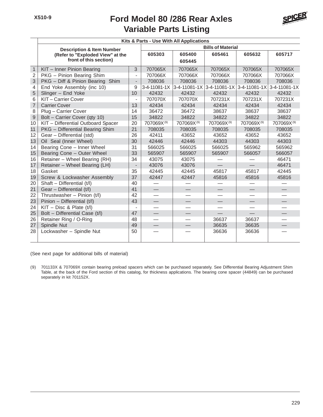# **Variable Parts Listing Ford Model 80 /286 Rear Axles**



|                | Kits & Parts - Use With All Applications |                          |                          |              |                      |              |                          |  |  |
|----------------|------------------------------------------|--------------------------|--------------------------|--------------|----------------------|--------------|--------------------------|--|--|
|                | <b>Description &amp; Item Number</b>     |                          | <b>Bills of Material</b> |              |                      |              |                          |  |  |
|                | (Refer to "Exploded View" at the         |                          | 605303                   | 605400       | 605461               | 605632       | 605717                   |  |  |
|                | front of this section)                   |                          |                          | 605445       |                      |              |                          |  |  |
| $\mathbf{1}$   | KIT - Inner Pinion Bearing               | 3                        | 707065X                  | 707065X      | 707065X              | 707065X      | 707065X                  |  |  |
| $\overline{2}$ | PKG - Pinion Bearing Shim                | $\blacksquare$           | 707066X                  | 707066X      | 707066X              | 707066X      | 707066X                  |  |  |
| 3              | PKG - Diff & Pinion Bearing<br>Shim      | $\overline{\phantom{a}}$ | 708036                   | 708036       | 708036               | 708036       | 708036                   |  |  |
| 4              | End Yoke Assembly (inc 10)               | 9                        | 3-4-11081-1X             | 3-4-11081-1X | $3 - 4 - 11081 - 1X$ | 3-4-11081-1X | 3-4-11081-1X             |  |  |
| 5              | Slinger - End Yoke                       | 10                       | 42432                    | 42432        | 42432                | 42432        | 42432                    |  |  |
| 6              | KIT-Carrier Cover                        | $\overline{\phantom{a}}$ | 707070X                  | 707070X      | 707231X              | 707231X      | 707231X                  |  |  |
| $\overline{7}$ | <b>Carrier Cover</b>                     | 13                       | 42434                    | 42434        | 42434                | 42434        | 42434                    |  |  |
| 8              | Plug - Carrier Cover                     | 14                       | 36472                    | 36472        | 38637                | 38637        | 38637                    |  |  |
| $\mathsf{9}$   | Bolt - Carrier Cover (qty 10)            | 15                       | 34822                    | 34822        | 34822                | 34822        | 34822                    |  |  |
| 10             | KIT - Differential Outboard Spacer       | 20                       | 707069X(9)               | 707069X(9)   | 707069X(9)           | 707069X(9)   | 707069X(9)               |  |  |
| 11             | PKG - Differential Bearing Shim          | 21                       | 708035                   | 708035       | 708035               | 708035       | 708035                   |  |  |
| 12             | Gear - Differential (std)                | 26                       | 42411                    | 43652        | 43652                | 43652        | 43652                    |  |  |
| 13             | Oil Seal (Inner Wheel)                   | 30                       | 42446                    | 42446        | 44303                | 44303        | 44303                    |  |  |
| 14             | Bearing Cone - Inner Wheel               | 31                       | 566025                   | 566025       | 566025               | 565962       | 565962                   |  |  |
| 15             | Bearing Cone - Outer Wheel               | 33                       | 565907                   | 565907       | 565907               | 566057       | 566057                   |  |  |
| 16             | Retainer - Wheel Bearing (RH)            | 34                       | 43075                    | 43075        |                      |              | 46471                    |  |  |
| 17             | Retainer - Wheel Bearing (LH)            | $\overline{\phantom{m}}$ | 43076                    | 43076        |                      |              | 46471                    |  |  |
| 18             | Gasket                                   | 35                       | 42445                    | 42445        | 45817                | 45817        | 42445                    |  |  |
| 19             | Screw & Lockwasher Assembly              | 37                       | 42447                    | 42447        | 45816                | 45816        | 45816                    |  |  |
| 20             | Shaft - Differential $(t/l)$             | 40                       |                          |              |                      |              |                          |  |  |
| 21             | Gear - Differential (t/l)                | 41                       | $\qquad \qquad -$        |              |                      |              |                          |  |  |
| 22             | Thrustwasher - Pinion (t/l)              | 42                       |                          |              |                      |              |                          |  |  |
| 23             | Pinion - Differential (t/l)              | 43                       | $\equiv$                 |              |                      |              |                          |  |  |
| 24             | $KIT - Disc 8$ Plate $(t/I)$             |                          |                          |              |                      |              |                          |  |  |
| 25             | Bolt - Differential Case (t/l)           | 47                       |                          |              |                      |              | $\overline{\phantom{0}}$ |  |  |
| 26             | Retainer Ring / O-Ring                   | 48                       | $\overline{\phantom{0}}$ |              | 36637                | 36637        |                          |  |  |
| 27             | Spindle Nut                              | 49                       |                          |              | 36635                | 36635        |                          |  |  |
| 28             | Lockwasher - Spindle Nut                 | 50                       |                          |              | 36636                | 36636        |                          |  |  |

(See next page for additional bills of material)

(9) 701133X & 707069X contain bearing preload spacers which can be purchased separately. See Differential Bearing Adjustment Shim Table, at the back of the Ford section of this catalog, for thickness applications. The bearing cone spacer (44849) can be purchased separately in kit 701152X.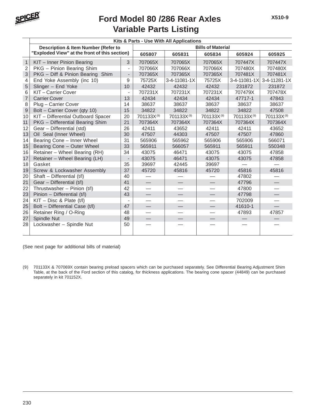

### **Variable Parts Listing Ford Model 80 /286 Rear Axles**

|                | Kits & Parts - Use With All Applications       |                              |                          |                        |            |                        |                        |  |  |  |
|----------------|------------------------------------------------|------------------------------|--------------------------|------------------------|------------|------------------------|------------------------|--|--|--|
|                | <b>Description &amp; Item Number (Refer to</b> |                              | <b>Bills of Material</b> |                        |            |                        |                        |  |  |  |
|                | "Exploded View" at the front of this section)  |                              | 605807                   | 605831                 | 605834     | 605924                 | 605925                 |  |  |  |
| $\mathbf{1}$   | KIT - Inner Pinion Bearing                     | 3                            | 707065X                  | 707065X                | 707065X    | 707447X                | 707447X                |  |  |  |
| $\overline{2}$ | PKG - Pinion Bearing Shim                      | $\overline{\phantom{0}}$     | 707066X                  | 707066X                | 707066X    | 707480X                | 707480X                |  |  |  |
| 3              | PKG - Diff & Pinion Bearing Shim               | $\overline{\phantom{a}}$     | 707365X                  | 707365X                | 707365X    | 707481X                | 707481X                |  |  |  |
| 4              | End Yoke Assembly (inc 10)                     | 9                            | 75725X                   | 3-4-11081-1X           | 75725X     | 3-4-11081-1X           | 3-4-11281-1X           |  |  |  |
| 5              | Slinger - End Yoke                             | 10                           | 42432                    | 42432                  | 42432      | 231872                 | 231872                 |  |  |  |
| 6              | KIT-Carrier Cover                              | $\overline{\phantom{a}}$     | 707231X                  | 707231X                | 707231X    | 707479X                | 707478X                |  |  |  |
| $\overline{7}$ | <b>Carrier Cover</b>                           | 13                           | 42434                    | 42434                  | 42434      | 47717-1                | 47843                  |  |  |  |
| 8              | Plug - Carrier Cover                           | 14                           | 38637                    | 38637                  | 38637      | 38637                  | 38637                  |  |  |  |
| $\hbox{9}$     | Bolt - Carrier Cover (qty 10)                  | 15                           | 34822                    | 34822                  | 34822      | 34822                  | 47508                  |  |  |  |
| 10             | KIT - Differential Outboard Spacer             | 20                           | 701133X <sup>(9)</sup>   | 701133X <sup>(9)</sup> | 701133X(9) | 701133X <sup>(9)</sup> | 701133X <sup>(9)</sup> |  |  |  |
| 11             | PKG - Differential Bearing Shim                | 21                           | 707364X                  | 707364X                | 707364X    | 707364X                | 707364X                |  |  |  |
| 12             | Gear - Differential (std)                      | 26                           | 42411                    | 43652                  | 42411      | 42411                  | 43652                  |  |  |  |
| 13             | Oil Seal (Inner Wheel)                         | 30                           | 47507                    | 44303                  | 47507      | 47507                  | 47860                  |  |  |  |
| 14             | Bearing Cone - Inner Wheel                     | 31                           | 565906                   | 565962                 | 565906     | 565906                 | 566071                 |  |  |  |
| 15             | Bearing Cone - Outer Wheel                     | 33                           | 565911                   | 566057                 | 565911     | 565911                 | 550348                 |  |  |  |
| 16             | Retainer - Wheel Bearing (RH)                  | 34                           | 43075                    | 46471                  | 43075      | 43075                  | 47858                  |  |  |  |
| 17             | Retainer - Wheel Bearing (LH)                  | $\qquad \qquad \blacksquare$ | 43075                    | 46471                  | 43075      | 43075                  | 47858                  |  |  |  |
| 18             | Gasket                                         | 35                           | 39697                    | 42445                  | 39697      |                        |                        |  |  |  |
| 19             | Screw & Lockwasher Assembly                    | 37                           | 45720                    | 45816                  | 45720      | 45816                  | 45816                  |  |  |  |
| 20             | Shaft - Differential (t/l)                     | 40                           |                          |                        |            | 47802                  |                        |  |  |  |
| 21             | Gear - Differential (t/l)                      | 41                           |                          |                        |            | 47796                  |                        |  |  |  |
| 22             | Thrustwasher - Pinion (t/l)                    | 42                           |                          |                        |            | 47800                  |                        |  |  |  |
| 23             | Pinion - Differential (t/l)                    | 43                           |                          |                        |            | 47798                  |                        |  |  |  |
| 24             | $KIT - Disc 8$ Plate (t/l)                     |                              |                          |                        |            | 702009                 |                        |  |  |  |
| 25             | Bolt - Differential Case (t/l)                 | 47                           |                          |                        |            | 41610-1                | $\equiv$               |  |  |  |
| 26             | Retainer Ring / O-Ring                         | 48                           |                          |                        |            | 47893                  | 47857                  |  |  |  |
| 27             | Spindle Nut                                    | 49                           |                          |                        |            |                        |                        |  |  |  |
| 28             | Lockwasher - Spindle Nut                       | 50                           |                          |                        |            |                        |                        |  |  |  |

(See next page for additional bills of material)

(9) 701133X & 707069X contain bearing preload spacers which can be purchased separately. See Differential Bearing Adjustment Shim Table, at the back of the Ford section of this catalog, for thickness applications. The bearing cone spacer (44849) can be purchased separately in kit 701152X.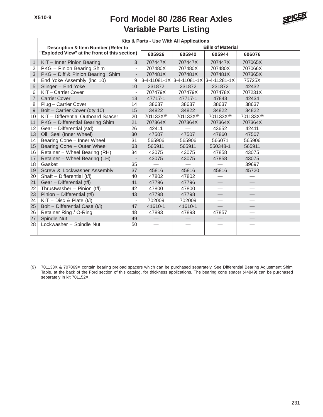# **Variable Parts Listing Ford Model 80 /286 Rear Axles**



|                  | Kits & Parts - Use With All Applications       |                                               |                           |            |              |                        |  |  |  |  |
|------------------|------------------------------------------------|-----------------------------------------------|---------------------------|------------|--------------|------------------------|--|--|--|--|
|                  | <b>Description &amp; Item Number (Refer to</b> |                                               | <b>Bills of Material</b>  |            |              |                        |  |  |  |  |
|                  |                                                | "Exploded View" at the front of this section) |                           | 605942     | 605944       | 606076                 |  |  |  |  |
| $\mathbf{1}$     | KIT - Inner Pinion Bearing                     | 3                                             | 707447X                   | 707447X    | 707447X      | 707065X                |  |  |  |  |
| $\overline{2}$   | PKG - Pinion Bearing Shim                      | $\overline{a}$                                | 707480X                   | 707480X    | 707480X      | 707066X                |  |  |  |  |
| 3                | PKG - Diff & Pinion Bearing Shim               | $\qquad \qquad \blacksquare$                  | 707481X                   | 707481X    | 707481X      | 707365X                |  |  |  |  |
| 4                | End Yoke Assembly (inc 10)                     | 9                                             | 3-4-11081-1X 3-4-11081-1X |            | 3-4-11281-1X | 75725X                 |  |  |  |  |
| 5                | Slinger - End Yoke                             | 10                                            | 231872                    | 231872     | 231872       | 42432                  |  |  |  |  |
| 6                | KIT-Carrier Cover                              | $\overline{\phantom{a}}$                      | 707479X                   | 707479X    | 707478X      | 707231X                |  |  |  |  |
| $\overline{7}$   | <b>Carrier Cover</b>                           | 13                                            | 47717-1                   | 47717-1    | 47843        | 42434                  |  |  |  |  |
| 8                | Plug - Carrier Cover                           | 14                                            | 38637                     | 38637      | 38637        | 38637                  |  |  |  |  |
| $\boldsymbol{9}$ | Bolt - Carrier Cover (qty 10)                  | 15                                            | 34822                     | 34822      | 34822        | 34822                  |  |  |  |  |
| 10               | KIT - Differential Outboard Spacer             | 20                                            | 701133X(9)                | 701133X(9) | 701133X(9)   | 701133X <sup>(9)</sup> |  |  |  |  |
| 11               | PKG - Differential Bearing Shim                | 21                                            | 707364X                   | 707364X    | 707364X      | 707364X                |  |  |  |  |
| 12               | Gear - Differential (std)                      | 26                                            | 42411                     |            | 43652        | 42411                  |  |  |  |  |
| 13               | Oil Seal (Inner Wheel)                         | 30                                            | 47507                     | 47507      | 47860        | 47507                  |  |  |  |  |
| 14               | Bearing Cone - Inner Wheel                     | 31                                            | 565906                    | 565906     | 566071       | 565906                 |  |  |  |  |
| 15               | Bearing Cone - Outer Wheel                     | 33                                            | 565911                    | 565911     | 550348-1     | 565911                 |  |  |  |  |
| 16               | Retainer - Wheel Bearing (RH)                  | 34                                            | 43075                     | 43075      | 47858        | 43075                  |  |  |  |  |
| 17               | Retainer - Wheel Bearing (LH)                  |                                               | 43075                     | 43075      | 47858        | 43075                  |  |  |  |  |
| 18               | Gasket                                         | 35                                            |                           |            |              | 39697                  |  |  |  |  |
| 19               | Screw & Lockwasher Assembly                    | 37                                            | 45816                     | 45816      | 45816        | 45720                  |  |  |  |  |
| 20               | Shaft - Differential (t/l)                     | 40                                            | 47802                     | 47802      |              |                        |  |  |  |  |
| 21               | Gear - Differential (t/l)                      | 41                                            | 47796                     | 47796      |              |                        |  |  |  |  |
| 22               | Thrustwasher - Pinion (t/l)                    | 42                                            | 47800                     | 47800      |              |                        |  |  |  |  |
| 23               | Pinion - Differential (t/l)                    | 43                                            | 47798                     | 47798      |              |                        |  |  |  |  |
| 24               | $KIT - Disc 8$ Plate (t/l)                     | $\overline{\phantom{a}}$                      | 702009                    | 702009     |              |                        |  |  |  |  |
| 25               | Bolt - Differential Case (t/l)                 | 47                                            | 41610-1                   | 41610-1    |              |                        |  |  |  |  |
| 26               | Retainer Ring / O-Ring                         | 48                                            | 47893                     | 47893      | 47857        |                        |  |  |  |  |
| 27               | Spindle Nut                                    | 49                                            |                           |            |              |                        |  |  |  |  |
| 28               | Lockwasher - Spindle Nut                       | 50                                            |                           |            |              |                        |  |  |  |  |

(9) 701133X & 707069X contain bearing preload spacers which can be purchased separately. See Differential Bearing Adjustment Shim Table, at the back of the Ford section of this catalog, for thickness applications. The bearing cone spacer (44849) can be purchased separately in kit 701152X.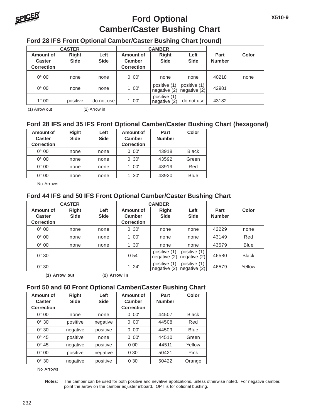

### **Ford Optional Camber/Caster Bushing Chart**

### **Ford 28 IFS Front Optional Camber/Caster Bushing Chart (round)**

|                                                 | <b>CASTER</b>               |                     |                                          | <b>CAMBER</b>                |                              |                       |       |
|-------------------------------------------------|-----------------------------|---------------------|------------------------------------------|------------------------------|------------------------------|-----------------------|-------|
| Amount of<br><b>Caster</b><br><b>Correction</b> | <b>Right</b><br><b>Side</b> | Left<br><b>Side</b> | Amount of<br>Camber<br><b>Correction</b> | <b>Right</b><br><b>Side</b>  | Left<br><b>Side</b>          | Part<br><b>Number</b> | Color |
| $0^\circ 00'$                                   | none                        | none                | $0\ 00'$                                 | none                         | none                         | 40218                 | none  |
| $0^\circ 00'$                                   | none                        | none                | 100'                                     | positive (1)<br>negative (2) | positive (1)<br>negative (2) | 42981                 |       |
| $1^{\circ}$ 00'                                 | positive                    | do not use          | 100'                                     | positive (1)<br>negative (2) | do not use                   | 43182                 |       |

(1) Arrow out (2) Arrow in

### **Ford 28 IFS and 35 IFS Front Optional Camber/Caster Bushing Chart (hexagonal)**

| Amount of<br><b>Caster</b><br><b>Correction</b> | <b>Right</b><br><b>Side</b> | Left<br><b>Side</b> | Amount of<br>Camber<br><b>Correction</b> | Part<br><b>Number</b> | Color        |
|-------------------------------------------------|-----------------------------|---------------------|------------------------------------------|-----------------------|--------------|
| $0^\circ 00'$                                   | none                        | none                | $0\ 00'$                                 | 43918                 | <b>Black</b> |
| $0^\circ 00'$                                   | none                        | none                | 0.30'                                    | 43592                 | Green        |
| $0^{\circ} 00'$                                 | none                        | none                | 00'                                      | 43919                 | Red          |
| $00^{\circ}$<br>∩°                              | none                        | none                | 30'                                      | 43920                 | <b>Blue</b>  |

No Arrows

### **Ford 44 IFS and 50 IFS Front Optional Camber/Caster Bushing Chart**

|                                                 | <b>CASTER</b>               |                     |                                          | <b>CAMBER</b>                |                             |                       |              |
|-------------------------------------------------|-----------------------------|---------------------|------------------------------------------|------------------------------|-----------------------------|-----------------------|--------------|
| Amount of<br><b>Caster</b><br><b>Correction</b> | <b>Right</b><br><b>Side</b> | Left<br><b>Side</b> | Amount of<br>Camber<br><b>Correction</b> | Right<br><b>Side</b>         | Left<br><b>Side</b>         | Part<br><b>Number</b> | <b>Color</b> |
| $0^\circ 00'$                                   | none                        | none                | 0.30'                                    | none                         | none                        | 42229                 | none         |
| $0^\circ 00'$                                   | none                        | none                | 00'                                      | none                         | none                        | 43149                 | Red          |
| $0^\circ 00'$                                   | none                        | none                | 30'<br>1.                                | none                         | none                        | 43579                 | <b>Blue</b>  |
| $0^\circ 30'$                                   |                             |                     | 0.54'                                    | positive (1)<br>negative (2) | positive (1)<br>neqative(2) | 46580                 | <b>Black</b> |
| $0^\circ$ 30'                                   |                             |                     | 124'                                     | positive (1)<br>negative (2) | positive (1)<br>neqative(2) | 46579                 | Yellow       |

**(1) Arrow out (2) Arrow in**

#### **Ford 50 and 60 Front Optional Camber/Caster Bushing Chart**

| Amount of<br><b>Caster</b><br><b>Correction</b> | <b>Right</b><br><b>Side</b> | Left<br><b>Side</b> | Amount of<br>Camber<br><b>Correction</b> | Part<br><b>Number</b> | Color        |
|-------------------------------------------------|-----------------------------|---------------------|------------------------------------------|-----------------------|--------------|
| $0^\circ 00'$                                   | none                        | none                | 00'<br>0                                 | 44507                 | <b>Black</b> |
| $0^\circ$ 30'                                   | positive                    | negative            | 00'<br>0                                 | 44508                 | Red          |
| $0^\circ$ 30'                                   | negative                    | positive            | 00'<br>0                                 | 44509                 | <b>Blue</b>  |
| $0^{\circ} 45'$                                 | positive                    | none                | 00'<br>0                                 | 44510                 | Green        |
| $0^{\circ} 45'$                                 | negative                    | positive            | 0.00'                                    | 44511                 | Yellow       |
| $0^\circ 00'$                                   | positive                    | negative            | 0.30'                                    | 50421                 | Pink         |
| $0^\circ$ 30'                                   | negative                    | positive            | 0.30'                                    | 50422                 | Orange       |

No Arrows

**Notes**: The camber can be used for both positive and nevative applications, unless otherwise noted. For negative camber, point the arrow on the camber adjuster inboard. OPT is for optional bushing.